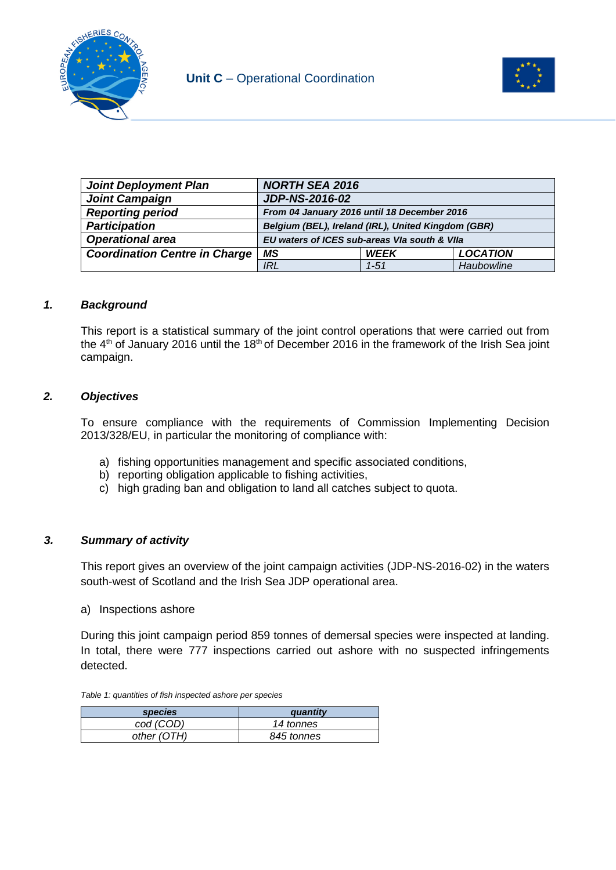



| <b>Joint Deployment Plan</b>         | <b>NORTH SEA 2016</b>                              |             |                 |
|--------------------------------------|----------------------------------------------------|-------------|-----------------|
| <b>Joint Campaign</b>                | <b>JDP-NS-2016-02</b>                              |             |                 |
| <b>Reporting period</b>              | From 04 January 2016 until 18 December 2016        |             |                 |
| <b>Participation</b>                 | Belgium (BEL), Ireland (IRL), United Kingdom (GBR) |             |                 |
| <b>Operational area</b>              | EU waters of ICES sub-areas VIa south & VIIa       |             |                 |
| <b>Coordination Centre in Charge</b> | ΜS                                                 | <b>WEEK</b> | <b>LOCATION</b> |
|                                      | IRL                                                | $1 - 51$    | Haubowline      |

## *1. Background*

This report is a statistical summary of the joint control operations that were carried out from the  $4<sup>th</sup>$  of January 2016 until the 18<sup>th</sup> of December 2016 in the framework of the Irish Sea joint campaign.

## *2. Objectives*

To ensure compliance with the requirements of Commission Implementing Decision 2013/328/EU, in particular the monitoring of compliance with:

- a) fishing opportunities management and specific associated conditions,
- b) reporting obligation applicable to fishing activities,
- c) high grading ban and obligation to land all catches subject to quota.

## *3. Summary of activity*

This report gives an overview of the joint campaign activities (JDP-NS-2016-02) in the waters south-west of Scotland and the Irish Sea JDP operational area.

a) Inspections ashore

During this joint campaign period 859 tonnes of demersal species were inspected at landing. In total, there were 777 inspections carried out ashore with no suspected infringements detected.

*Table 1: quantities of fish inspected ashore per species*

| <i>species</i> | auantity   |
|----------------|------------|
| cod (COD)      | 14 tonnes  |
| other (OTH)    | 845 tonnes |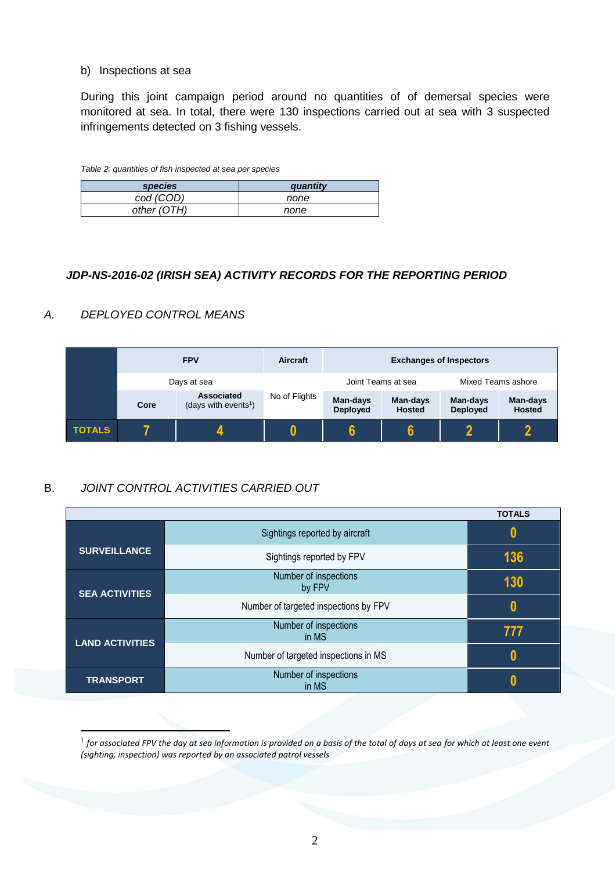#### b) Inspections at sea

During this joint campaign period around no quantities of of demersal species were monitored at sea. In total, there were 130 inspections carried out at sea with 3 suspected infringements detected on 3 fishing vessels.

| <i>species</i> | quantity |
|----------------|----------|
| cod (COD)      | none     |
| other (OTH)    | none     |

## *JDP-NS-2016-02 (IRISH SEA) ACTIVITY RECORDS FOR THE REPORTING PERIOD*

## *A. DEPLOYED CONTROL MEANS*

1

|               |      | <b>FPV</b>                                     | Aircraft      | <b>Exchanges of Inspectors</b> |                           |                             |                           |
|---------------|------|------------------------------------------------|---------------|--------------------------------|---------------------------|-----------------------------|---------------------------|
|               |      | Days at sea                                    |               | Joint Teams at sea             |                           | Mixed Teams ashore          |                           |
|               | Core | Associated<br>(days with events <sup>1</sup> ) | No of Flights | Man-days<br><b>Deployed</b>    | Man-days<br><b>Hosted</b> | Man-days<br><b>Deployed</b> | Man-days<br><b>Hosted</b> |
| <b>TOTALS</b> |      |                                                |               |                                | 6                         | n                           |                           |

# B. *JOINT CONTROL ACTIVITIES CARRIED OUT*

|                        |                                       | <b>TOTALS</b> |
|------------------------|---------------------------------------|---------------|
|                        | Sightings reported by aircraft        | 0             |
| <b>SURVEILLANCE</b>    | Sightings reported by FPV             | 136           |
| <b>SEA ACTIVITIES</b>  | Number of inspections<br>by FPV       | 130           |
|                        | Number of targeted inspections by FPV | O             |
| <b>LAND ACTIVITIES</b> | Number of inspections<br>in MS        | 777           |
|                        | Number of targeted inspections in MS  | N             |
| <b>TRANSPORT</b>       | Number of inspections<br>in MS        |               |

 $^{\rm 1}$  for associated FPV the day at sea information is provided on a basis of the total of days at sea for which at least one event *(sighting, inspection) was reported by an associated patrol vessels*